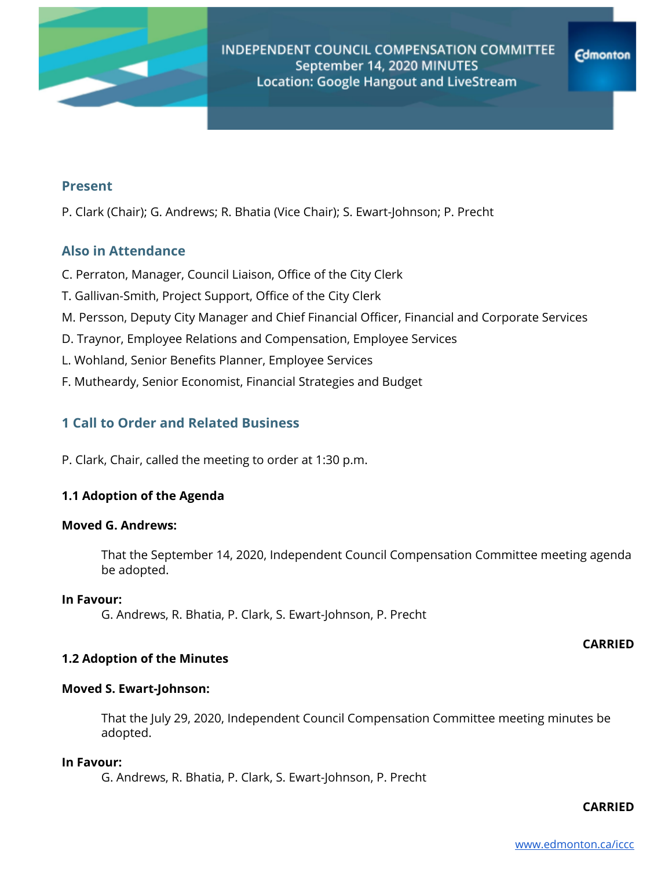

## **Present**

P. Clark (Chair); G. Andrews; R. Bhatia (Vice Chair); S. Ewart-Johnson; P. Precht

## **Also in Attendance**

- C. Perraton, Manager, Council Liaison, Office of the City Clerk
- T. Gallivan-Smith, Project Support, Office of the City Clerk
- M. Persson, Deputy City Manager and Chief Financial Officer, Financial and Corporate Services
- D. Traynor, Employee Relations and Compensation, Employee Services
- L. Wohland, Senior Benefits Planner, Employee Services
- F. Mutheardy, Senior Economist, Financial Strategies and Budget

# **1 Call to Order and Related Business**

P. Clark, Chair, called the meeting to order at 1:30 p.m.

## **1.1 Adoption of the Agenda**

## **Moved G. Andrews:**

That the September 14, 2020, Independent Council Compensation Committee meeting agenda be adopted.

#### **In Favour:**

G. Andrews, R. Bhatia, P. Clark, S. Ewart-Johnson, P. Precht

#### **CARRIED**

## **1.2 Adoption of the Minutes**

## **Moved S. Ewart-Johnson:**

That the July 29, 2020, Independent Council Compensation Committee meeting minutes be adopted.

#### **In Favour:**

G. Andrews, R. Bhatia, P. Clark, S. Ewart-Johnson, P. Precht

#### **CARRIED**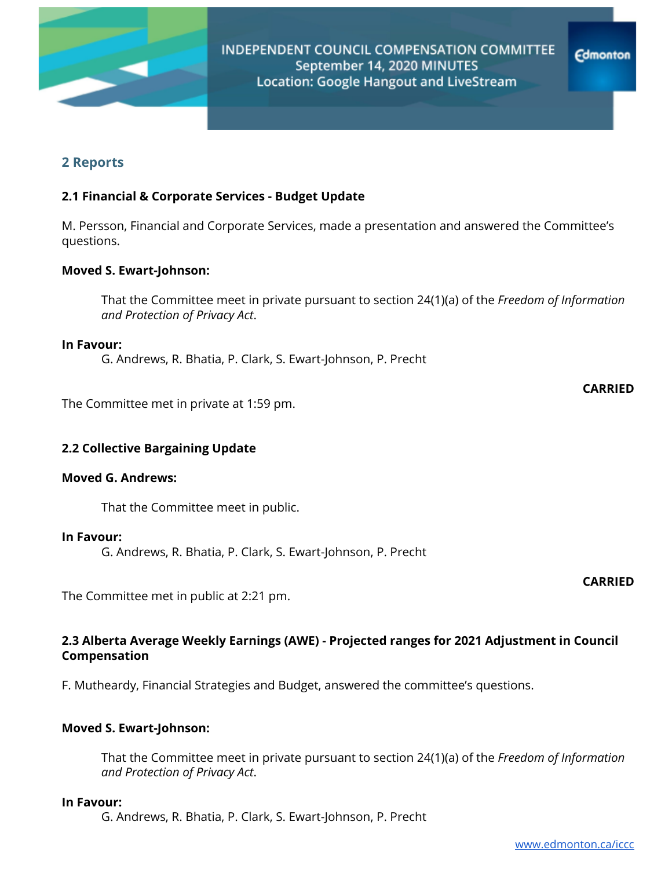

# **2 Reports**

## **2.1 Financial & Corporate Services - Budget Update**

M. Persson, Financial and Corporate Services, made a presentation and answered the Committee's questions.

## **Moved S. Ewart-Johnson:**

That the Committee meet in private pursuant to section 24(1)(a) of the *Freedom of Information and Protection of Privacy Act*.

#### **In Favour:**

G. Andrews, R. Bhatia, P. Clark, S. Ewart-Johnson, P. Precht

The Committee met in private at 1:59 pm.

## **2.2 Collective Bargaining Update**

#### **Moved G. Andrews:**

That the Committee meet in public.

### **In Favour:**

G. Andrews, R. Bhatia, P. Clark, S. Ewart-Johnson, P. Precht

The Committee met in public at 2:21 pm.

## **2.3 Alberta Average Weekly Earnings (AWE) - Projected ranges for 2021 Adjustment in Council Compensation**

F. Mutheardy, Financial Strategies and Budget, answered the committee's questions.

### **Moved S. Ewart-Johnson:**

That the Committee meet in private pursuant to section 24(1)(a) of the *Freedom of Information and Protection of Privacy Act*.

#### **In Favour:**

G. Andrews, R. Bhatia, P. Clark, S. Ewart-Johnson, P. Precht

## **CARRIED**

**CARRIED**